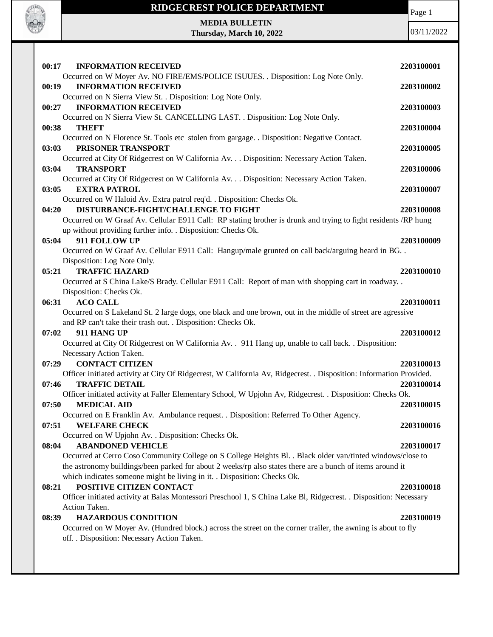

**MEDIA BULLETIN Thursday, March 10, 2022** Page 1

| 00:17<br><b>INFORMATION RECEIVED</b>                                                                                                                                           | 2203100001 |
|--------------------------------------------------------------------------------------------------------------------------------------------------------------------------------|------------|
| Occurred on W Moyer Av. NO FIRE/EMS/POLICE ISUUES. . Disposition: Log Note Only.<br><b>INFORMATION RECEIVED</b><br>00:19                                                       | 2203100002 |
| Occurred on N Sierra View St. . Disposition: Log Note Only.<br><b>INFORMATION RECEIVED</b><br>00:27                                                                            | 2203100003 |
| Occurred on N Sierra View St. CANCELLING LAST. . Disposition: Log Note Only.<br>00:38<br><b>THEFT</b>                                                                          | 2203100004 |
| Occurred on N Florence St. Tools etc stolen from gargage. . Disposition: Negative Contact.<br>PRISONER TRANSPORT<br>03:03                                                      | 2203100005 |
| Occurred at City Of Ridgecrest on W California Av. Disposition: Necessary Action Taken.<br><b>TRANSPORT</b><br>03:04                                                           | 2203100006 |
| Occurred at City Of Ridgecrest on W California Av. Disposition: Necessary Action Taken.<br>03:05<br><b>EXTRA PATROL</b>                                                        | 2203100007 |
| Occurred on W Haloid Av. Extra patrol req'd. . Disposition: Checks Ok.                                                                                                         |            |
| DISTURBANCE-FIGHT/CHALLENGE TO FIGHT<br>04:20                                                                                                                                  | 2203100008 |
| Occurred on W Graaf Av. Cellular E911 Call: RP stating brother is drunk and trying to fight residents /RP hung<br>up without providing further info. . Disposition: Checks Ok. |            |
| 05:04<br>911 FOLLOW UP                                                                                                                                                         | 2203100009 |
| Occurred on W Graaf Av. Cellular E911 Call: Hangup/male grunted on call back/arguing heard in BG. .                                                                            |            |
| Disposition: Log Note Only.                                                                                                                                                    |            |
| <b>TRAFFIC HAZARD</b><br>05:21                                                                                                                                                 | 2203100010 |
| Occurred at S China Lake/S Brady. Cellular E911 Call: Report of man with shopping cart in roadway                                                                              |            |
| Disposition: Checks Ok.                                                                                                                                                        |            |
| 06:31<br><b>ACO CALL</b>                                                                                                                                                       | 2203100011 |
| Occurred on S Lakeland St. 2 large dogs, one black and one brown, out in the middle of street are agressive<br>and RP can't take their trash out. . Disposition: Checks Ok.    |            |
| 911 HANG UP<br>07:02                                                                                                                                                           | 2203100012 |
| Occurred at City Of Ridgecrest on W California Av. . 911 Hang up, unable to call back. . Disposition:                                                                          |            |
| Necessary Action Taken.                                                                                                                                                        |            |
| 07:29 CONTACT CITIZEN                                                                                                                                                          | 2203100013 |
| Officer initiated activity at City Of Ridgecrest, W California Av, Ridgecrest. . Disposition: Information Provided.                                                            |            |
| 07:46<br><b>TRAFFIC DETAIL</b>                                                                                                                                                 | 2203100014 |
| Officer initiated activity at Faller Elementary School, W Upjohn Av, Ridgecrest. . Disposition: Checks Ok.                                                                     |            |
| <b>MEDICAL AID</b><br>07:50                                                                                                                                                    | 2203100015 |
| Occurred on E Franklin Av. Ambulance request. . Disposition: Referred To Other Agency.                                                                                         |            |
| <b>WELFARE CHECK</b><br>07:51                                                                                                                                                  | 2203100016 |
| Occurred on W Upjohn Av. . Disposition: Checks Ok.                                                                                                                             |            |
| <b>ABANDONED VEHICLE</b><br>08:04                                                                                                                                              | 2203100017 |
| Occurred at Cerro Coso Community College on S College Heights Bl. . Black older van/tinted windows/close to                                                                    |            |
| the astronomy buildings/been parked for about 2 weeks/rp also states there are a bunch of items around it                                                                      |            |
| which indicates someone might be living in it. . Disposition: Checks Ok.                                                                                                       |            |
| POSITIVE CITIZEN CONTACT<br>08:21                                                                                                                                              | 2203100018 |
| Officer initiated activity at Balas Montessori Preschool 1, S China Lake Bl, Ridgecrest. . Disposition: Necessary                                                              |            |
| Action Taken.                                                                                                                                                                  |            |
| <b>HAZARDOUS CONDITION</b><br>08:39                                                                                                                                            | 2203100019 |
| Occurred on W Moyer Av. (Hundred block.) across the street on the corner trailer, the awning is about to fly<br>off. . Disposition: Necessary Action Taken.                    |            |
|                                                                                                                                                                                |            |
|                                                                                                                                                                                |            |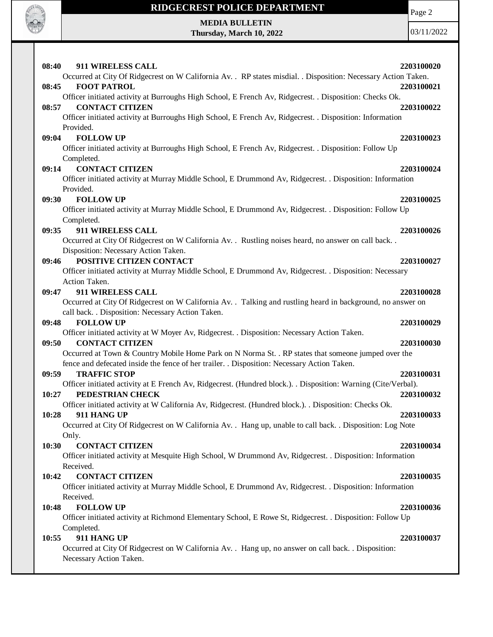

Page 2

## **MEDIA BULLETIN Thursday, March 10, 2022**

| 08:40 | 911 WIRELESS CALL                                                                                                                  | 2203100020 |
|-------|------------------------------------------------------------------------------------------------------------------------------------|------------|
|       | Occurred at City Of Ridgecrest on W California Av. . RP states misdial. . Disposition: Necessary Action Taken.                     |            |
| 08:45 | <b>FOOT PATROL</b>                                                                                                                 | 2203100021 |
|       | Officer initiated activity at Burroughs High School, E French Av, Ridgecrest. . Disposition: Checks Ok.                            |            |
| 08:57 | <b>CONTACT CITIZEN</b>                                                                                                             | 2203100022 |
|       | Officer initiated activity at Burroughs High School, E French Av, Ridgecrest. . Disposition: Information                           |            |
|       | Provided.                                                                                                                          |            |
| 09:04 | <b>FOLLOW UP</b>                                                                                                                   | 2203100023 |
|       | Officer initiated activity at Burroughs High School, E French Av, Ridgecrest. . Disposition: Follow Up                             |            |
|       | Completed.                                                                                                                         |            |
| 09:14 | <b>CONTACT CITIZEN</b>                                                                                                             | 2203100024 |
|       | Officer initiated activity at Murray Middle School, E Drummond Av, Ridgecrest. . Disposition: Information                          |            |
|       | Provided.<br><b>FOLLOW UP</b>                                                                                                      | 2203100025 |
| 09:30 | Officer initiated activity at Murray Middle School, E Drummond Av, Ridgecrest. . Disposition: Follow Up                            |            |
|       | Completed.                                                                                                                         |            |
| 09:35 | 911 WIRELESS CALL                                                                                                                  | 2203100026 |
|       | Occurred at City Of Ridgecrest on W California Av. . Rustling noises heard, no answer on call back. .                              |            |
|       | Disposition: Necessary Action Taken.                                                                                               |            |
| 09:46 | POSITIVE CITIZEN CONTACT                                                                                                           | 2203100027 |
|       | Officer initiated activity at Murray Middle School, E Drummond Av, Ridgecrest. . Disposition: Necessary                            |            |
|       | Action Taken.                                                                                                                      |            |
| 09:47 | 911 WIRELESS CALL                                                                                                                  | 2203100028 |
|       | Occurred at City Of Ridgecrest on W California Av. . Talking and rustling heard in background, no answer on                        |            |
|       | call back. . Disposition: Necessary Action Taken.                                                                                  |            |
| 09:48 | <b>FOLLOW UP</b>                                                                                                                   | 2203100029 |
|       | Officer initiated activity at W Moyer Av, Ridgecrest. . Disposition: Necessary Action Taken.                                       |            |
| 09:50 | <b>CONTACT CITIZEN</b>                                                                                                             | 2203100030 |
|       | Occurred at Town & Country Mobile Home Park on N Norma St. . RP states that someone jumped over the                                |            |
|       | fence and defecated inside the fence of her trailer. . Disposition: Necessary Action Taken.                                        |            |
| 09:59 | <b>TRAFFIC STOP</b>                                                                                                                | 2203100031 |
| 10:27 | Officer initiated activity at E French Av, Ridgecrest. (Hundred block.). . Disposition: Warning (Cite/Verbal).<br>PEDESTRIAN CHECK | 2203100032 |
|       | Officer initiated activity at W California Av, Ridgecrest. (Hundred block.). . Disposition: Checks Ok.                             |            |
| 10:28 | 911 HANG UP                                                                                                                        | 2203100033 |
|       | Occurred at City Of Ridgecrest on W California Av. . Hang up, unable to call back. . Disposition: Log Note                         |            |
|       | Only.                                                                                                                              |            |
| 10:30 | <b>CONTACT CITIZEN</b>                                                                                                             | 2203100034 |
|       | Officer initiated activity at Mesquite High School, W Drummond Av, Ridgecrest. . Disposition: Information                          |            |
|       | Received.                                                                                                                          |            |
| 10:42 | <b>CONTACT CITIZEN</b>                                                                                                             | 2203100035 |
|       | Officer initiated activity at Murray Middle School, E Drummond Av, Ridgecrest. . Disposition: Information                          |            |
|       | Received.                                                                                                                          |            |
| 10:48 | <b>FOLLOW UP</b>                                                                                                                   | 2203100036 |
|       | Officer initiated activity at Richmond Elementary School, E Rowe St, Ridgecrest. . Disposition: Follow Up                          |            |
|       | Completed.                                                                                                                         |            |
| 10:55 | 911 HANG UP                                                                                                                        | 2203100037 |
|       | Occurred at City Of Ridgecrest on W California Av. . Hang up, no answer on call back. . Disposition:                               |            |
|       | Necessary Action Taken.                                                                                                            |            |
|       |                                                                                                                                    |            |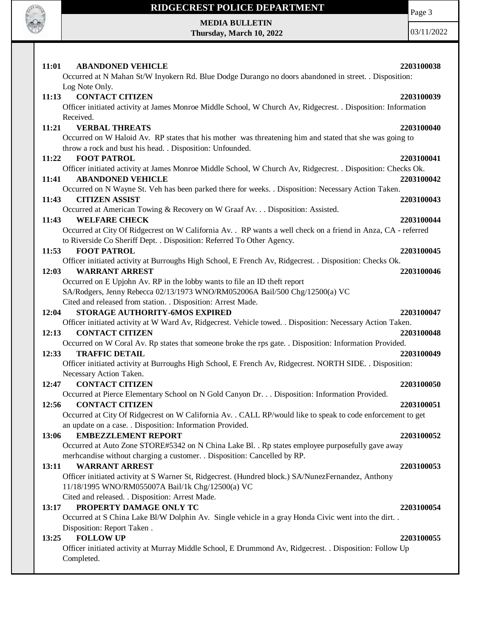

# **RIDGECREST POLICE DEPARTMENT MEDIA BULLETIN**

**Thursday, March 10, 2022**

Page 3

| 11:01<br><b>ABANDONED VEHICLE</b><br>Occurred at N Mahan St/W Inyokern Rd. Blue Dodge Durango no doors abandoned in street. . Disposition: | 2203100038 |
|--------------------------------------------------------------------------------------------------------------------------------------------|------------|
| Log Note Only.                                                                                                                             |            |
| <b>CONTACT CITIZEN</b><br>11:13                                                                                                            | 2203100039 |
| Officer initiated activity at James Monroe Middle School, W Church Av, Ridgecrest. . Disposition: Information                              |            |
| Received.                                                                                                                                  |            |
| 11:21<br><b>VERBAL THREATS</b>                                                                                                             | 2203100040 |
| Occurred on W Haloid Av. RP states that his mother was threatening him and stated that she was going to                                    |            |
| throw a rock and bust his head. . Disposition: Unfounded.                                                                                  |            |
| 11:22<br><b>FOOT PATROL</b>                                                                                                                | 2203100041 |
| Officer initiated activity at James Monroe Middle School, W Church Av, Ridgecrest. . Disposition: Checks Ok.                               |            |
| <b>ABANDONED VEHICLE</b><br>11:41                                                                                                          | 2203100042 |
| Occurred on N Wayne St. Veh has been parked there for weeks. . Disposition: Necessary Action Taken.                                        |            |
| 11:43<br><b>CITIZEN ASSIST</b>                                                                                                             | 2203100043 |
| Occurred at American Towing & Recovery on W Graaf Av. Disposition: Assisted.                                                               |            |
| <b>WELFARE CHECK</b><br>11:43                                                                                                              | 2203100044 |
| Occurred at City Of Ridgecrest on W California Av. . RP wants a well check on a friend in Anza, CA - referred                              |            |
|                                                                                                                                            |            |
| to Riverside Co Sheriff Dept. . Disposition: Referred To Other Agency.                                                                     |            |
| <b>FOOT PATROL</b><br>11:53                                                                                                                | 2203100045 |
| Officer initiated activity at Burroughs High School, E French Av, Ridgecrest. . Disposition: Checks Ok.                                    |            |
| 12:03<br><b>WARRANT ARREST</b>                                                                                                             | 2203100046 |
| Occurred on E Upjohn Av. RP in the lobby wants to file an ID theft report                                                                  |            |
| SA/Rodgers, Jenny Rebecca 02/13/1973 WNO/RM052006A Bail/500 Chg/12500(a) VC                                                                |            |
| Cited and released from station. . Disposition: Arrest Made.                                                                               |            |
| STORAGE AUTHORITY-6MOS EXPIRED<br>12:04                                                                                                    | 2203100047 |
| Officer initiated activity at W Ward Av, Ridgecrest. Vehicle towed. . Disposition: Necessary Action Taken.                                 |            |
| 12:13<br><b>CONTACT CITIZEN</b>                                                                                                            | 2203100048 |
| Occurred on W Coral Av. Rp states that someone broke the rps gate. . Disposition: Information Provided.                                    |            |
| <b>TRAFFIC DETAIL</b><br>12:33                                                                                                             | 2203100049 |
| Officer initiated activity at Burroughs High School, E French Av, Ridgecrest. NORTH SIDE. . Disposition:                                   |            |
| Necessary Action Taken.                                                                                                                    | 2203100050 |
| <b>CONTACT CITIZEN</b><br>12:47                                                                                                            |            |
| Occurred at Pierce Elementary School on N Gold Canyon Dr. Disposition: Information Provided.                                               |            |
| <b>CONTACT CITIZEN</b><br>12:56                                                                                                            | 2203100051 |
| Occurred at City Of Ridgecrest on W California Av. . CALL RP/would like to speak to code enforcement to get                                |            |
| an update on a case. . Disposition: Information Provided.                                                                                  |            |
| 13:06<br><b>EMBEZZLEMENT REPORT</b>                                                                                                        | 2203100052 |
| Occurred at Auto Zone STORE#5342 on N China Lake Bl. . Rp states employee purposefully gave away                                           |            |
| merhcandise without charging a customer. . Disposition: Cancelled by RP.                                                                   |            |
| <b>WARRANT ARREST</b><br>13:11                                                                                                             | 2203100053 |
| Officer initiated activity at S Warner St, Ridgecrest. (Hundred block.) SA/NunezFernandez, Anthony                                         |            |
| 11/18/1995 WNO/RM055007A Bail/1k Chg/12500(a) VC                                                                                           |            |
| Cited and released. . Disposition: Arrest Made.                                                                                            |            |
| PROPERTY DAMAGE ONLY TC<br>13:17                                                                                                           | 2203100054 |
| Occurred at S China Lake Bl/W Dolphin Av. Single vehicle in a gray Honda Civic went into the dirt. .                                       |            |
| Disposition: Report Taken.                                                                                                                 |            |
| <b>FOLLOW UP</b><br>13:25                                                                                                                  | 2203100055 |
| Officer initiated activity at Murray Middle School, E Drummond Av, Ridgecrest. . Disposition: Follow Up                                    |            |
| Completed.                                                                                                                                 |            |
|                                                                                                                                            |            |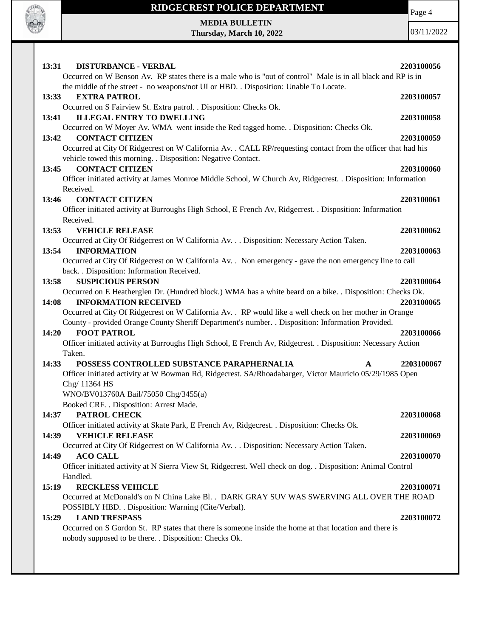

Page 4

**MEDIA BULLETIN Thursday, March 10, 2022**

| 13:31<br><b>DISTURBANCE - VERBAL</b><br>Occurred on W Benson Av. RP states there is a male who is "out of control" Male is in all black and RP is in                | 2203100056 |
|---------------------------------------------------------------------------------------------------------------------------------------------------------------------|------------|
| the middle of the street - no weapons/not UI or HBD. . Disposition: Unable To Locate.                                                                               |            |
| 13:33<br><b>EXTRA PATROL</b>                                                                                                                                        | 2203100057 |
| Occurred on S Fairview St. Extra patrol. . Disposition: Checks Ok.                                                                                                  |            |
| <b>ILLEGAL ENTRY TO DWELLING</b><br>13:41                                                                                                                           | 2203100058 |
| Occurred on W Moyer Av. WMA went inside the Red tagged home. . Disposition: Checks Ok.<br><b>CONTACT CITIZEN</b>                                                    |            |
| 13:42<br>Occurred at City Of Ridgecrest on W California Av. . CALL RP/requesting contact from the officer that had his                                              | 2203100059 |
| vehicle towed this morning. . Disposition: Negative Contact.                                                                                                        |            |
| <b>CONTACT CITIZEN</b><br>13:45                                                                                                                                     | 2203100060 |
| Officer initiated activity at James Monroe Middle School, W Church Av, Ridgecrest. . Disposition: Information                                                       |            |
| Received.                                                                                                                                                           |            |
| 13:46<br><b>CONTACT CITIZEN</b>                                                                                                                                     | 2203100061 |
| Officer initiated activity at Burroughs High School, E French Av, Ridgecrest. . Disposition: Information                                                            |            |
| Received.                                                                                                                                                           |            |
| 13:53<br><b>VEHICLE RELEASE</b>                                                                                                                                     | 2203100062 |
| Occurred at City Of Ridgecrest on W California Av. Disposition: Necessary Action Taken.<br><b>INFORMATION</b>                                                       |            |
| 13:54<br>Occurred at City Of Ridgecrest on W California Av. . Non emergency - gave the non emergency line to call                                                   | 2203100063 |
| back. . Disposition: Information Received.                                                                                                                          |            |
| <b>SUSPICIOUS PERSON</b><br>13:58                                                                                                                                   | 2203100064 |
| Occurred on E Heatherglen Dr. (Hundred block.) WMA has a white beard on a bike. . Disposition: Checks Ok.                                                           |            |
| <b>INFORMATION RECEIVED</b><br>14:08                                                                                                                                | 2203100065 |
| Occurred at City Of Ridgecrest on W California Av. . RP would like a well check on her mother in Orange                                                             |            |
| County - provided Orange County Sheriff Department's number. . Disposition: Information Provided.                                                                   |            |
| 14:20<br><b>FOOT PATROL</b>                                                                                                                                         | 2203100066 |
| Officer initiated activity at Burroughs High School, E French Av, Ridgecrest. . Disposition: Necessary Action                                                       |            |
| Taken.                                                                                                                                                              |            |
| 14:33<br>POSSESS CONTROLLED SUBSTANCE PARAPHERNALIA<br>A<br>Officer initiated activity at W Bowman Rd, Ridgecrest. SA/Rhoadabarger, Victor Mauricio 05/29/1985 Open | 2203100067 |
| Chg/ 11364 HS                                                                                                                                                       |            |
| WNO/BV013760A Bail/75050 Chg/3455(a)                                                                                                                                |            |
| Booked CRF. . Disposition: Arrest Made.                                                                                                                             |            |
| PATROL CHECK<br>14:37                                                                                                                                               | 2203100068 |
| Officer initiated activity at Skate Park, E French Av, Ridgecrest. . Disposition: Checks Ok.                                                                        |            |
| <b>VEHICLE RELEASE</b><br>14:39                                                                                                                                     | 2203100069 |
| Occurred at City Of Ridgecrest on W California Av. Disposition: Necessary Action Taken.                                                                             |            |
| 14:49<br><b>ACO CALL</b>                                                                                                                                            | 2203100070 |
| Officer initiated activity at N Sierra View St, Ridgecrest. Well check on dog. . Disposition: Animal Control                                                        |            |
| Handled.<br>15:19<br><b>RECKLESS VEHICLE</b>                                                                                                                        | 2203100071 |
| Occurred at McDonald's on N China Lake Bl. . DARK GRAY SUV WAS SWERVING ALL OVER THE ROAD                                                                           |            |
| POSSIBLY HBD. . Disposition: Warning (Cite/Verbal).                                                                                                                 |            |
| <b>LAND TRESPASS</b><br>15:29                                                                                                                                       | 2203100072 |
| Occurred on S Gordon St. RP states that there is someone inside the home at that location and there is                                                              |            |
| nobody supposed to be there. . Disposition: Checks Ok.                                                                                                              |            |
|                                                                                                                                                                     |            |
|                                                                                                                                                                     |            |
|                                                                                                                                                                     |            |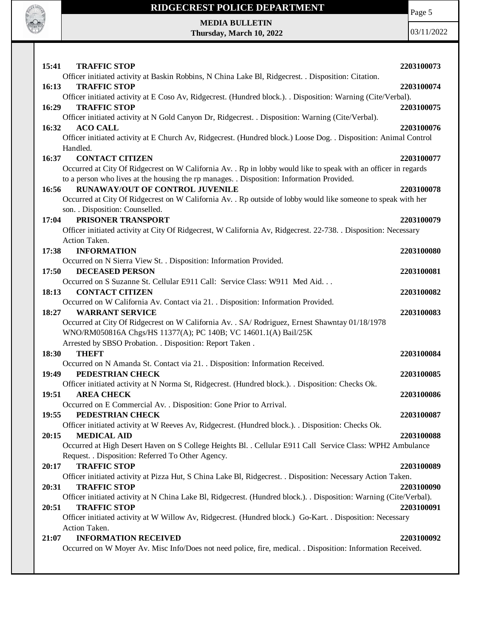

Page 5

**MEDIA BULLETIN Thursday, March 10, 2022**

| 15:41<br><b>TRAFFIC STOP</b>                                                                                       | 2203100073 |
|--------------------------------------------------------------------------------------------------------------------|------------|
| Officer initiated activity at Baskin Robbins, N China Lake Bl, Ridgecrest. . Disposition: Citation.                |            |
| <b>TRAFFIC STOP</b><br>16:13                                                                                       | 2203100074 |
| Officer initiated activity at E Coso Av, Ridgecrest. (Hundred block.). Disposition: Warning (Cite/Verbal).         |            |
| <b>TRAFFIC STOP</b><br>16:29                                                                                       | 2203100075 |
| Officer initiated activity at N Gold Canyon Dr, Ridgecrest. . Disposition: Warning (Cite/Verbal).                  |            |
| <b>ACO CALL</b><br>16:32                                                                                           | 2203100076 |
| Officer initiated activity at E Church Av, Ridgecrest. (Hundred block.) Loose Dog. . Disposition: Animal Control   |            |
| Handled.                                                                                                           |            |
| <b>CONTACT CITIZEN</b><br>16:37                                                                                    | 2203100077 |
| Occurred at City Of Ridgecrest on W California Av. . Rp in lobby would like to speak with an officer in regards    |            |
| to a person who lives at the housing the rp manages. . Disposition: Information Provided.                          |            |
| RUNAWAY/OUT OF CONTROL JUVENILE<br>16:56                                                                           | 2203100078 |
| Occurred at City Of Ridgecrest on W California Av. . Rp outside of lobby would like someone to speak with her      |            |
| son. . Disposition: Counselled.                                                                                    |            |
| PRISONER TRANSPORT<br>17:04                                                                                        | 2203100079 |
| Officer initiated activity at City Of Ridgecrest, W California Av, Ridgecrest. 22-738. . Disposition: Necessary    |            |
| Action Taken.                                                                                                      |            |
| <b>INFORMATION</b><br>17:38                                                                                        | 2203100080 |
| Occurred on N Sierra View St. . Disposition: Information Provided.                                                 |            |
| 17:50<br><b>DECEASED PERSON</b>                                                                                    | 2203100081 |
| Occurred on S Suzanne St. Cellular E911 Call: Service Class: W911 Med Aid                                          |            |
| 18:13<br><b>CONTACT CITIZEN</b>                                                                                    | 2203100082 |
| Occurred on W California Av. Contact via 21. . Disposition: Information Provided.                                  |            |
| <b>WARRANT SERVICE</b><br>18:27                                                                                    | 2203100083 |
| Occurred at City Of Ridgecrest on W California Av. . SA/ Rodriguez, Ernest Shawntay 01/18/1978                     |            |
| WNO/RM050816A Chgs/HS 11377(A); PC 140B; VC 14601.1(A) Bail/25K                                                    |            |
| Arrested by SBSO Probation. . Disposition: Report Taken.                                                           |            |
| 18:30<br><b>THEFT</b>                                                                                              | 2203100084 |
| Occurred on N Amanda St. Contact via 21. . Disposition: Information Received.                                      |            |
| PEDESTRIAN CHECK<br>19:49                                                                                          | 2203100085 |
| Officer initiated activity at N Norma St, Ridgecrest. (Hundred block.). . Disposition: Checks Ok.                  |            |
| 19:51<br><b>AREA CHECK</b>                                                                                         | 2203100086 |
| Occurred on E Commercial Av. . Disposition: Gone Prior to Arrival.                                                 |            |
| 19:55<br>PEDESTRIAN CHECK                                                                                          | 2203100087 |
| Officer initiated activity at W Reeves Av, Ridgecrest. (Hundred block.). . Disposition: Checks Ok.                 |            |
| <b>MEDICAL AID</b><br>20:15                                                                                        | 2203100088 |
| Occurred at High Desert Haven on S College Heights Bl. . Cellular E911 Call Service Class: WPH2 Ambulance          |            |
| Request. . Disposition: Referred To Other Agency.                                                                  |            |
| <b>TRAFFIC STOP</b><br>20:17                                                                                       | 2203100089 |
| Officer initiated activity at Pizza Hut, S China Lake Bl, Ridgecrest. . Disposition: Necessary Action Taken.       |            |
| <b>TRAFFIC STOP</b><br>20:31                                                                                       | 2203100090 |
| Officer initiated activity at N China Lake Bl, Ridgecrest. (Hundred block.). . Disposition: Warning (Cite/Verbal). |            |
| <b>TRAFFIC STOP</b><br>20:51                                                                                       | 2203100091 |
| Officer initiated activity at W Willow Av, Ridgecrest. (Hundred block.) Go-Kart. . Disposition: Necessary          |            |
| Action Taken.                                                                                                      |            |
| <b>INFORMATION RECEIVED</b><br>21:07                                                                               | 2203100092 |
| Occurred on W Moyer Av. Misc Info/Does not need police, fire, medical. . Disposition: Information Received.        |            |
|                                                                                                                    |            |